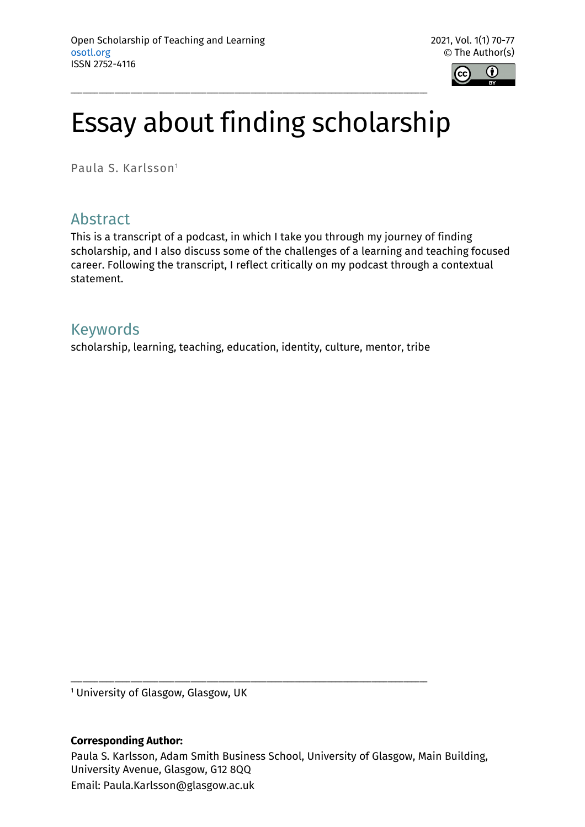

# Essay about finding scholarship

\_\_\_\_\_\_\_\_\_\_\_\_\_\_\_\_\_\_\_\_\_\_\_\_\_\_\_\_\_\_\_\_\_\_\_\_\_\_\_\_\_\_\_\_\_\_\_\_\_\_\_\_\_\_\_\_\_\_\_\_\_\_\_\_\_\_\_\_\_\_\_\_\_\_\_\_\_\_\_\_\_\_\_\_\_\_\_\_\_

Paula S. Karlsson1

# Abstract

This is a transcript of a podcast, in which I take you through my journey of finding scholarship, and I also discuss some of the challenges of a learning and teaching focused career. Following the transcript, I reflect critically on my podcast through a contextual statement.

### Keywords

scholarship, learning, teaching, education, identity, culture, mentor, tribe

<sup>1</sup> University of Glasgow, Glasgow, UK

#### **Corresponding Author:**

Paula S. Karlsson, Adam Smith Business School, University of Glasgow, Main Building, University Avenue, Glasgow, G12 8QQ Email: Paula.Karlsson@glasgow.ac.uk

\_\_\_\_\_\_\_\_\_\_\_\_\_\_\_\_\_\_\_\_\_\_\_\_\_\_\_\_\_\_\_\_\_\_\_\_\_\_\_\_\_\_\_\_\_\_\_\_\_\_\_\_\_\_\_\_\_\_\_\_\_\_\_\_\_\_\_\_\_\_\_\_\_\_\_\_\_\_\_\_\_\_\_\_\_\_\_\_\_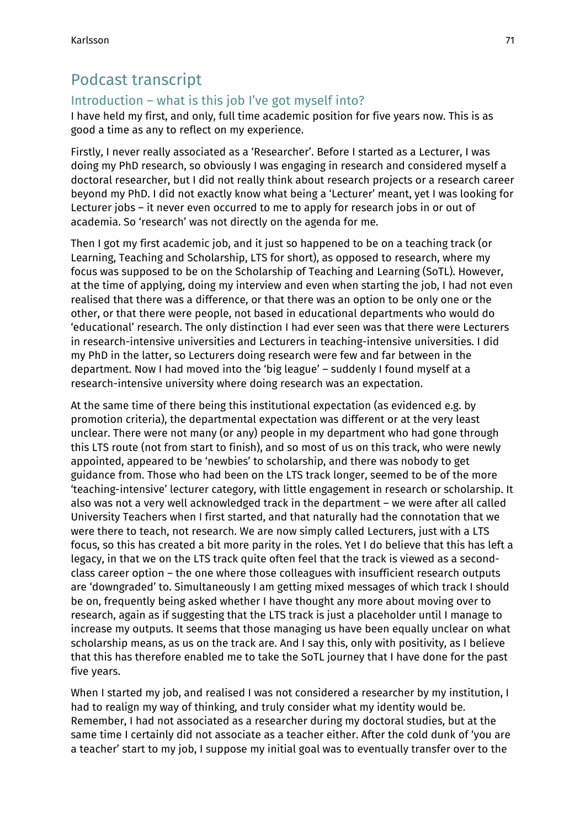# Podcast transcript

#### Introduction – what is this job I've got myself into?

I have held my first, and only, full time academic position for five years now. This is as good a time as any to reflect on my experience.

Firstly, I never really associated as a 'Researcher'. Before I started as a Lecturer, I was doing my PhD research, so obviously I was engaging in research and considered myself a doctoral researcher, but I did not really think about research projects or a research career beyond my PhD. I did not exactly know what being a 'Lecturer' meant, yet I was looking for Lecturer jobs – it never even occurred to me to apply for research jobs in or out of academia. So 'research' was not directly on the agenda for me.

Then I got my first academic job, and it just so happened to be on a teaching track (or Learning, Teaching and Scholarship, LTS for short), as opposed to research, where my focus was supposed to be on the Scholarship of Teaching and Learning (SoTL). However, at the time of applying, doing my interview and even when starting the job, I had not even realised that there was a difference, or that there was an option to be only one or the other, or that there were people, not based in educational departments who would do 'educational' research. The only distinction I had ever seen was that there were Lecturers in research-intensive universities and Lecturers in teaching-intensive universities. I did my PhD in the latter, so Lecturers doing research were few and far between in the department. Now I had moved into the 'big league' – suddenly I found myself at a research-intensive university where doing research was an expectation.

At the same time of there being this institutional expectation (as evidenced e.g. by promotion criteria), the departmental expectation was different or at the very least unclear. There were not many (or any) people in my department who had gone through this LTS route (not from start to finish), and so most of us on this track, who were newly appointed, appeared to be 'newbies' to scholarship, and there was nobody to get guidance from. Those who had been on the LTS track longer, seemed to be of the more 'teaching-intensive' lecturer category, with little engagement in research or scholarship. It also was not a very well acknowledged track in the department – we were after all called University Teachers when I first started, and that naturally had the connotation that we were there to teach, not research. We are now simply called Lecturers, just with a LTS focus, so this has created a bit more parity in the roles. Yet I do believe that this has left a legacy, in that we on the LTS track quite often feel that the track is viewed as a secondclass career option – the one where those colleagues with insufficient research outputs are 'downgraded' to. Simultaneously I am getting mixed messages of which track I should be on, frequently being asked whether I have thought any more about moving over to research, again as if suggesting that the LTS track is just a placeholder until I manage to increase my outputs. It seems that those managing us have been equally unclear on what scholarship means, as us on the track are. And I say this, only with positivity, as I believe that this has therefore enabled me to take the SoTL journey that I have done for the past five years.

When I started my job, and realised I was not considered a researcher by my institution, I had to realign my way of thinking, and truly consider what my identity would be. Remember, I had not associated as a researcher during my doctoral studies, but at the same time I certainly did not associate as a teacher either. After the cold dunk of 'you are a teacher' start to my job, I suppose my initial goal was to eventually transfer over to the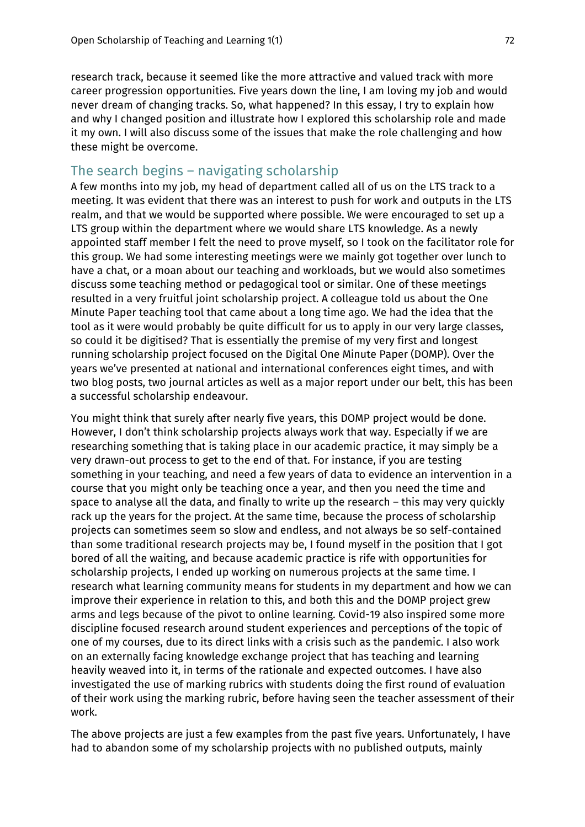research track, because it seemed like the more attractive and valued track with more career progression opportunities. Five years down the line, I am loving my job and would never dream of changing tracks. So, what happened? In this essay, I try to explain how and why I changed position and illustrate how I explored this scholarship role and made it my own. I will also discuss some of the issues that make the role challenging and how these might be overcome.

### The search begins – navigating scholarship

A few months into my job, my head of department called all of us on the LTS track to a meeting. It was evident that there was an interest to push for work and outputs in the LTS realm, and that we would be supported where possible. We were encouraged to set up a LTS group within the department where we would share LTS knowledge. As a newly appointed staff member I felt the need to prove myself, so I took on the facilitator role for this group. We had some interesting meetings were we mainly got together over lunch to have a chat, or a moan about our teaching and workloads, but we would also sometimes discuss some teaching method or pedagogical tool or similar. One of these meetings resulted in a very fruitful joint scholarship project. A colleague told us about the One Minute Paper teaching tool that came about a long time ago. We had the idea that the tool as it were would probably be quite difficult for us to apply in our very large classes, so could it be digitised? That is essentially the premise of my very first and longest running scholarship project focused on the Digital One Minute Paper (DOMP). Over the years we've presented at national and international conferences eight times, and with two blog posts, two journal articles as well as a major report under our belt, this has been a successful scholarship endeavour.

You might think that surely after nearly five years, this DOMP project would be done. However, I don't think scholarship projects always work that way. Especially if we are researching something that is taking place in our academic practice, it may simply be a very drawn-out process to get to the end of that. For instance, if you are testing something in your teaching, and need a few years of data to evidence an intervention in a course that you might only be teaching once a year, and then you need the time and space to analyse all the data, and finally to write up the research – this may very quickly rack up the years for the project. At the same time, because the process of scholarship projects can sometimes seem so slow and endless, and not always be so self-contained than some traditional research projects may be, I found myself in the position that I got bored of all the waiting, and because academic practice is rife with opportunities for scholarship projects, I ended up working on numerous projects at the same time. I research what learning community means for students in my department and how we can improve their experience in relation to this, and both this and the DOMP project grew arms and legs because of the pivot to online learning. Covid-19 also inspired some more discipline focused research around student experiences and perceptions of the topic of one of my courses, due to its direct links with a crisis such as the pandemic. I also work on an externally facing knowledge exchange project that has teaching and learning heavily weaved into it, in terms of the rationale and expected outcomes. I have also investigated the use of marking rubrics with students doing the first round of evaluation of their work using the marking rubric, before having seen the teacher assessment of their work.

The above projects are just a few examples from the past five years. Unfortunately, I have had to abandon some of my scholarship projects with no published outputs, mainly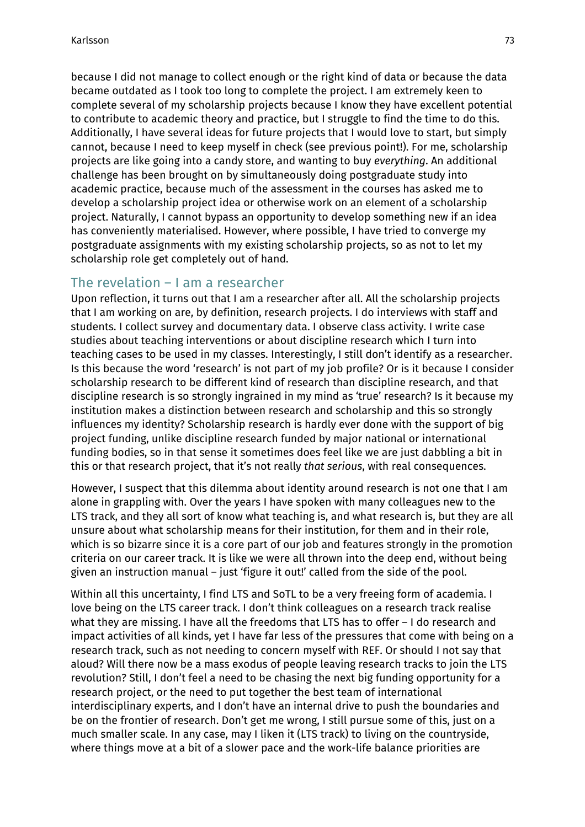because I did not manage to collect enough or the right kind of data or because the data became outdated as I took too long to complete the project. I am extremely keen to complete several of my scholarship projects because I know they have excellent potential to contribute to academic theory and practice, but I struggle to find the time to do this. Additionally, I have several ideas for future projects that I would love to start, but simply cannot, because I need to keep myself in check (see previous point!). For me, scholarship projects are like going into a candy store, and wanting to buy *everything*. An additional challenge has been brought on by simultaneously doing postgraduate study into academic practice, because much of the assessment in the courses has asked me to develop a scholarship project idea or otherwise work on an element of a scholarship project. Naturally, I cannot bypass an opportunity to develop something new if an idea has conveniently materialised. However, where possible, I have tried to converge my postgraduate assignments with my existing scholarship projects, so as not to let my scholarship role get completely out of hand.

#### The revelation – I am a researcher

Upon reflection, it turns out that I am a researcher after all. All the scholarship projects that I am working on are, by definition, research projects. I do interviews with staff and students. I collect survey and documentary data. I observe class activity. I write case studies about teaching interventions or about discipline research which I turn into teaching cases to be used in my classes. Interestingly, I still don't identify as a researcher. Is this because the word 'research' is not part of my job profile? Or is it because I consider scholarship research to be different kind of research than discipline research, and that discipline research is so strongly ingrained in my mind as 'true' research? Is it because my institution makes a distinction between research and scholarship and this so strongly influences my identity? Scholarship research is hardly ever done with the support of big project funding, unlike discipline research funded by major national or international funding bodies, so in that sense it sometimes does feel like we are just dabbling a bit in this or that research project, that it's not really *that serious*, with real consequences.

However, I suspect that this dilemma about identity around research is not one that I am alone in grappling with. Over the years I have spoken with many colleagues new to the LTS track, and they all sort of know what teaching is, and what research is, but they are all unsure about what scholarship means for their institution, for them and in their role, which is so bizarre since it is a core part of our job and features strongly in the promotion criteria on our career track. It is like we were all thrown into the deep end, without being given an instruction manual – just 'figure it out!' called from the side of the pool.

Within all this uncertainty, I find LTS and SoTL to be a very freeing form of academia. I love being on the LTS career track. I don't think colleagues on a research track realise what they are missing. I have all the freedoms that LTS has to offer – I do research and impact activities of all kinds, yet I have far less of the pressures that come with being on a research track, such as not needing to concern myself with REF. Or should I not say that aloud? Will there now be a mass exodus of people leaving research tracks to join the LTS revolution? Still, I don't feel a need to be chasing the next big funding opportunity for a research project, or the need to put together the best team of international interdisciplinary experts, and I don't have an internal drive to push the boundaries and be on the frontier of research. Don't get me wrong, I still pursue some of this, just on a much smaller scale. In any case, may I liken it (LTS track) to living on the countryside, where things move at a bit of a slower pace and the work-life balance priorities are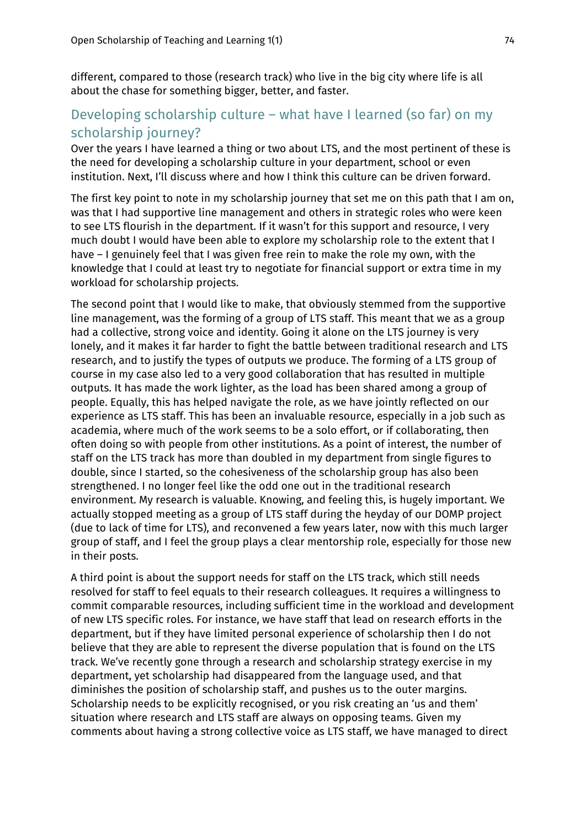different, compared to those (research track) who live in the big city where life is all about the chase for something bigger, better, and faster.

#### Developing scholarship culture – what have I learned (so far) on my scholarship journey?

Over the years I have learned a thing or two about LTS, and the most pertinent of these is the need for developing a scholarship culture in your department, school or even institution. Next, I'll discuss where and how I think this culture can be driven forward.

The first key point to note in my scholarship journey that set me on this path that I am on, was that I had supportive line management and others in strategic roles who were keen to see LTS flourish in the department. If it wasn't for this support and resource, I very much doubt I would have been able to explore my scholarship role to the extent that I have – I genuinely feel that I was given free rein to make the role my own, with the knowledge that I could at least try to negotiate for financial support or extra time in my workload for scholarship projects.

The second point that I would like to make, that obviously stemmed from the supportive line management, was the forming of a group of LTS staff. This meant that we as a group had a collective, strong voice and identity. Going it alone on the LTS journey is very lonely, and it makes it far harder to fight the battle between traditional research and LTS research, and to justify the types of outputs we produce. The forming of a LTS group of course in my case also led to a very good collaboration that has resulted in multiple outputs. It has made the work lighter, as the load has been shared among a group of people. Equally, this has helped navigate the role, as we have jointly reflected on our experience as LTS staff. This has been an invaluable resource, especially in a job such as academia, where much of the work seems to be a solo effort, or if collaborating, then often doing so with people from other institutions. As a point of interest, the number of staff on the LTS track has more than doubled in my department from single figures to double, since I started, so the cohesiveness of the scholarship group has also been strengthened. I no longer feel like the odd one out in the traditional research environment. My research is valuable. Knowing, and feeling this, is hugely important. We actually stopped meeting as a group of LTS staff during the heyday of our DOMP project (due to lack of time for LTS), and reconvened a few years later, now with this much larger group of staff, and I feel the group plays a clear mentorship role, especially for those new in their posts.

A third point is about the support needs for staff on the LTS track, which still needs resolved for staff to feel equals to their research colleagues. It requires a willingness to commit comparable resources, including sufficient time in the workload and development of new LTS specific roles. For instance, we have staff that lead on research efforts in the department, but if they have limited personal experience of scholarship then I do not believe that they are able to represent the diverse population that is found on the LTS track. We've recently gone through a research and scholarship strategy exercise in my department, yet scholarship had disappeared from the language used, and that diminishes the position of scholarship staff, and pushes us to the outer margins. Scholarship needs to be explicitly recognised, or you risk creating an 'us and them' situation where research and LTS staff are always on opposing teams. Given my comments about having a strong collective voice as LTS staff, we have managed to direct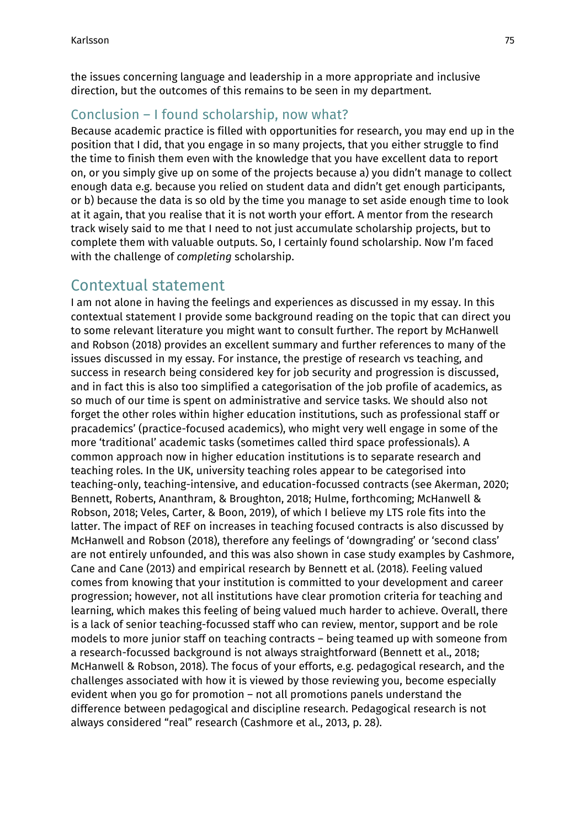the issues concerning language and leadership in a more appropriate and inclusive direction, but the outcomes of this remains to be seen in my department.

## Conclusion – I found scholarship, now what?

Because academic practice is filled with opportunities for research, you may end up in the position that I did, that you engage in so many projects, that you either struggle to find the time to finish them even with the knowledge that you have excellent data to report on, or you simply give up on some of the projects because a) you didn't manage to collect enough data e.g. because you relied on student data and didn't get enough participants, or b) because the data is so old by the time you manage to set aside enough time to look at it again, that you realise that it is not worth your effort. A mentor from the research track wisely said to me that I need to not just accumulate scholarship projects, but to complete them with valuable outputs. So, I certainly found scholarship. Now I'm faced with the challenge of *completing* scholarship.

# Contextual statement

I am not alone in having the feelings and experiences as discussed in my essay. In this contextual statement I provide some background reading on the topic that can direct you to some relevant literature you might want to consult further. The report by McHanwell and Robson (2018) provides an excellent summary and further references to many of the issues discussed in my essay. For instance, the prestige of research vs teaching, and success in research being considered key for job security and progression is discussed, and in fact this is also too simplified a categorisation of the job profile of academics, as so much of our time is spent on administrative and service tasks. We should also not forget the other roles within higher education institutions, such as professional staff or pracademics' (practice-focused academics), who might very well engage in some of the more 'traditional' academic tasks (sometimes called third space professionals). A common approach now in higher education institutions is to separate research and teaching roles. In the UK, university teaching roles appear to be categorised into teaching-only, teaching-intensive, and education-focussed contracts (see Akerman, 2020; Bennett, Roberts, Ananthram, & Broughton, 2018; Hulme, forthcoming; McHanwell & Robson, 2018; Veles, Carter, & Boon, 2019), of which I believe my LTS role fits into the latter. The impact of REF on increases in teaching focused contracts is also discussed by McHanwell and Robson (2018), therefore any feelings of 'downgrading' or 'second class' are not entirely unfounded, and this was also shown in case study examples by Cashmore, Cane and Cane (2013) and empirical research by Bennett et al. (2018). Feeling valued comes from knowing that your institution is committed to your development and career progression; however, not all institutions have clear promotion criteria for teaching and learning, which makes this feeling of being valued much harder to achieve. Overall, there is a lack of senior teaching-focussed staff who can review, mentor, support and be role models to more junior staff on teaching contracts – being teamed up with someone from a research-focussed background is not always straightforward (Bennett et al., 2018; McHanwell & Robson, 2018). The focus of your efforts, e.g. pedagogical research, and the challenges associated with how it is viewed by those reviewing you, become especially evident when you go for promotion – not all promotions panels understand the difference between pedagogical and discipline research. Pedagogical research is not always considered "real" research (Cashmore et al., 2013, p. 28).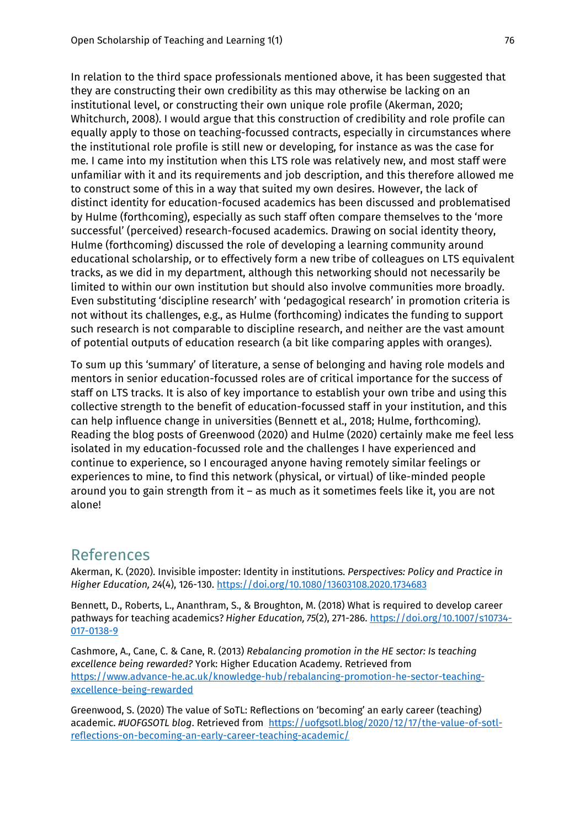In relation to the third space professionals mentioned above, it has been suggested that they are constructing their own credibility as this may otherwise be lacking on an institutional level, or constructing their own unique role profile (Akerman, 2020; Whitchurch, 2008). I would argue that this construction of credibility and role profile can equally apply to those on teaching-focussed contracts, especially in circumstances where the institutional role profile is still new or developing, for instance as was the case for me. I came into my institution when this LTS role was relatively new, and most staff were unfamiliar with it and its requirements and job description, and this therefore allowed me to construct some of this in a way that suited my own desires. However, the lack of distinct identity for education-focused academics has been discussed and problematised by Hulme (forthcoming), especially as such staff often compare themselves to the 'more successful' (perceived) research-focused academics. Drawing on social identity theory, Hulme (forthcoming) discussed the role of developing a learning community around educational scholarship, or to effectively form a new tribe of colleagues on LTS equivalent tracks, as we did in my department, although this networking should not necessarily be limited to within our own institution but should also involve communities more broadly. Even substituting 'discipline research' with 'pedagogical research' in promotion criteria is not without its challenges, e.g., as Hulme (forthcoming) indicates the funding to support such research is not comparable to discipline research, and neither are the vast amount of potential outputs of education research (a bit like comparing apples with oranges).

To sum up this 'summary' of literature, a sense of belonging and having role models and mentors in senior education-focussed roles are of critical importance for the success of staff on LTS tracks. It is also of key importance to establish your own tribe and using this collective strength to the benefit of education-focussed staff in your institution, and this can help influence change in universities (Bennett et al., 2018; Hulme, forthcoming). Reading the blog posts of Greenwood (2020) and Hulme (2020) certainly make me feel less isolated in my education-focussed role and the challenges I have experienced and continue to experience, so I encouraged anyone having remotely similar feelings or experiences to mine, to find this network (physical, or virtual) of like-minded people around you to gain strength from it – as much as it sometimes feels like it, you are not alone!

#### References

Akerman, K. (2020). Invisible imposter: Identity in institutions. *Perspectives: Policy and Practice in Higher Education, 24*(4), 126-130. https://doi.org/10.1080/13603108.2020.1734683

Bennett, D., Roberts, L., Ananthram, S., & Broughton, M. (2018) What is required to develop career pathways for teaching academics? *Higher Education, 75*(2), 271-286. https://doi.org/10.1007/s10734- 017-0138-9

Cashmore, A., Cane, C. & Cane, R. (2013) *Rebalancing promotion in the HE sector: Is teaching excellence being rewarded?* York: Higher Education Academy. Retrieved from https://www.advance-he.ac.uk/knowledge-hub/rebalancing-promotion-he-sector-teachingexcellence-being-rewarded

Greenwood, S. (2020) The value of SoTL: Reflections on 'becoming' an early career (teaching) academic. *#UOFGSOTL blog*. Retrieved from https://uofgsotl.blog/2020/12/17/the-value-of-sotlreflections-on-becoming-an-early-career-teaching-academic/